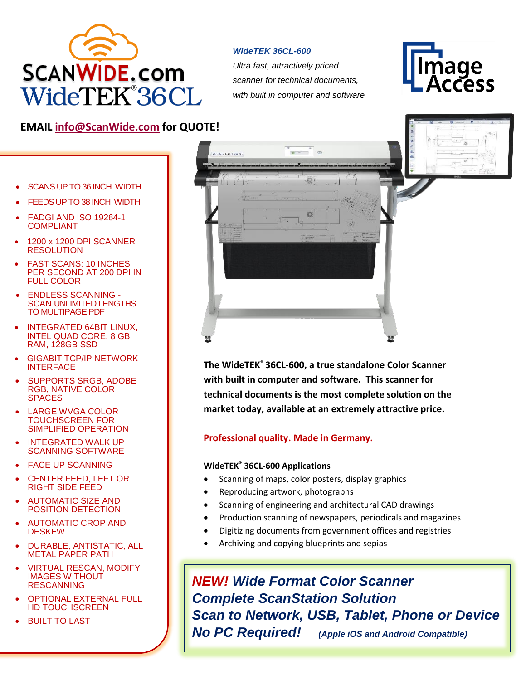

## *WideTEK 36CL-600*

*Ultra fast, attractively priced scanner for technical documents, with built in computer and software* 



# **EMAIL [info@ScanWide.com](mailto:info@ScanWide.com) for QUOTE!**

- SCANS UP TO 36 INCH WIDTH
- FEEDS UP TO 38 INCH WIDTH
- FADGI AND ISO 19264-1 COMPLIANT
- 1200 x 1200 DPI SCANNER **RESOLUTION**
- FAST SCANS: 10 INCHES PER SECOND AT 200 DPI IN FULL COLOR
- ENDLESS SCANNING SCAN UNLIMITED LENGTHS TO MULTIPAGE PDF
- INTEGRATED 64BIT LINUX, INTEL QUAD CORE, 8 GB RAM, 128GB SSD
- GIGABIT TCP/IP NETWORK **INTERFACE**
- SUPPORTS SRGB, ADOBE RGB, NATIVE COLOR SPACES
- LARGE WVGA COLOR TOUCHSCREEN FOR SIMPLIFIED OPERATION
- INTEGRATED WALK UP SCANNING SOFTWARE
- **FACE UP SCANNING**
- CENTER FEED, LEFT OR RIGHT SIDE FEED
- AUTOMATIC SIZE AND POSITION DETECTION
- AUTOMATIC CROP AND **DESKEW**
- DURABLE, ANTISTATIC, ALL METAL PAPER PATH
- VIRTUAL RESCAN, MODIFY IMAGES WITHOUT **RESCANNING**
- **OPTIONAL EXTERNAL FULL** HD TOUCHSCREEN
- **BUILT TO LAST**



**The WideTEK® 36CL-600, a true standalone Color Scanner with built in computer and software. This scanner for technical documents is the most complete solution on the market today, available at an extremely attractive price.**

## **Professional quality. Made in Germany.**

#### **WideTEK® 36CL-600 Applications**

- Scanning of maps, color posters, display graphics
- Reproducing artwork, photographs
- Scanning of engineering and architectural CAD drawings
- Production scanning of newspapers, periodicals and magazines
- Digitizing documents from government offices and registries
- Archiving and copying blueprints and sepias

*NEW! Wide Format Color Scanner Complete ScanStation Solution Scan to Network, USB, Tablet, Phone or Device No PC Required! (Apple iOS and Android Compatible)*